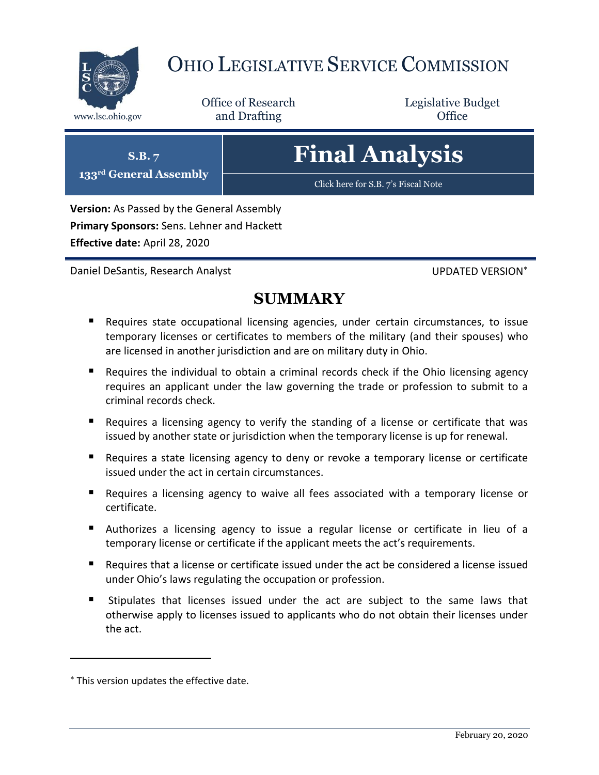

# OHIO LEGISLATIVE SERVICE COMMISSION

Office of Research www.lsc.ohio.gov **and Drafting Office** 

Legislative Budget

# **Final Analysis**

[Click here for S.B. 7](https://www.legislature.ohio.gov/legislation/legislation-documents?id=GA133-SB-7)'s Fiscal Note

**Version:** As Passed by the General Assembly **Primary Sponsors:** Sens. Lehner and Hackett **Effective date:** April 28, 2020

Daniel DeSantis, Research Analyst UPDATED VERSION\*

**S.B. 7 133rd General Assembly**

# **SUMMARY**

- Requires state occupational licensing agencies, under certain circumstances, to issue temporary licenses or certificates to members of the military (and their spouses) who are licensed in another jurisdiction and are on military duty in Ohio.
- Requires the individual to obtain a criminal records check if the Ohio licensing agency requires an applicant under the law governing the trade or profession to submit to a criminal records check.
- Requires a licensing agency to verify the standing of a license or certificate that was issued by another state or jurisdiction when the temporary license is up for renewal.
- Requires a state licensing agency to deny or revoke a temporary license or certificate issued under the act in certain circumstances.
- Requires a licensing agency to waive all fees associated with a temporary license or certificate.
- Authorizes a licensing agency to issue a regular license or certificate in lieu of a temporary license or certificate if the applicant meets the act's requirements.
- Requires that a license or certificate issued under the act be considered a license issued under Ohio's laws regulating the occupation or profession.
- Stipulates that licenses issued under the act are subject to the same laws that otherwise apply to licenses issued to applicants who do not obtain their licenses under the act.

This version updates the effective date.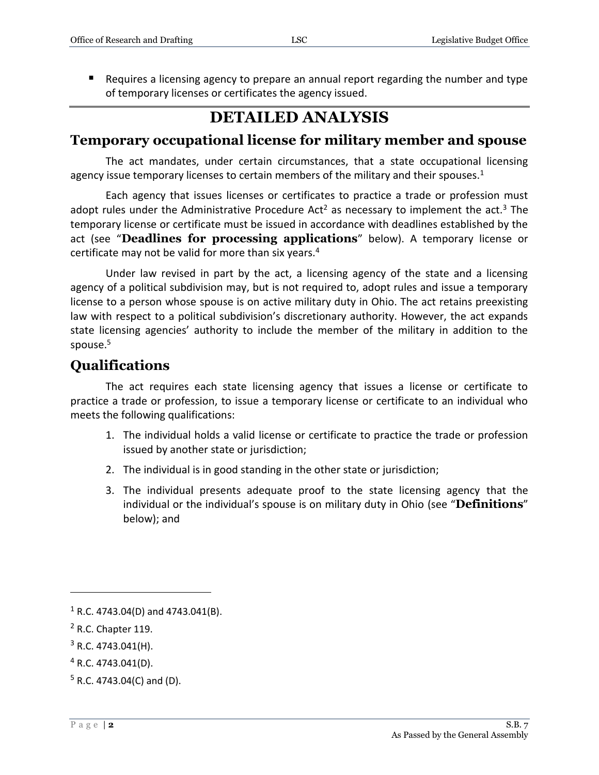Requires a licensing agency to prepare an annual report regarding the number and type of temporary licenses or certificates the agency issued.

# **DETAILED ANALYSIS**

#### **Temporary occupational license for military member and spouse**

The act mandates, under certain circumstances, that a state occupational licensing agency issue temporary licenses to certain members of the military and their spouses.<sup>1</sup>

Each agency that issues licenses or certificates to practice a trade or profession must adopt rules under the Administrative Procedure Act<sup>2</sup> as necessary to implement the act.<sup>3</sup> The temporary license or certificate must be issued in accordance with deadlines established by the act (see "**Deadlines for processing applications**" below). A temporary license or certificate may not be valid for more than six years.<sup>4</sup>

Under law revised in part by the act, a licensing agency of the state and a licensing agency of a political subdivision may, but is not required to, adopt rules and issue a temporary license to a person whose spouse is on active military duty in Ohio. The act retains preexisting law with respect to a political subdivision's discretionary authority. However, the act expands state licensing agencies' authority to include the member of the military in addition to the spouse.<sup>5</sup>

## **Qualifications**

The act requires each state licensing agency that issues a license or certificate to practice a trade or profession, to issue a temporary license or certificate to an individual who meets the following qualifications:

- 1. The individual holds a valid license or certificate to practice the trade or profession issued by another state or jurisdiction;
- 2. The individual is in good standing in the other state or jurisdiction;
- 3. The individual presents adequate proof to the state licensing agency that the individual or the individual's spouse is on military duty in Ohio (see "**Definitions**" below); and

 $1$  R.C. 4743.04(D) and 4743.041(B).

<sup>2</sup> R.C. Chapter 119.

 $3$  R.C. 4743.041(H).

<sup>4</sup> R.C. 4743.041(D).

 $5$  R.C. 4743.04(C) and (D).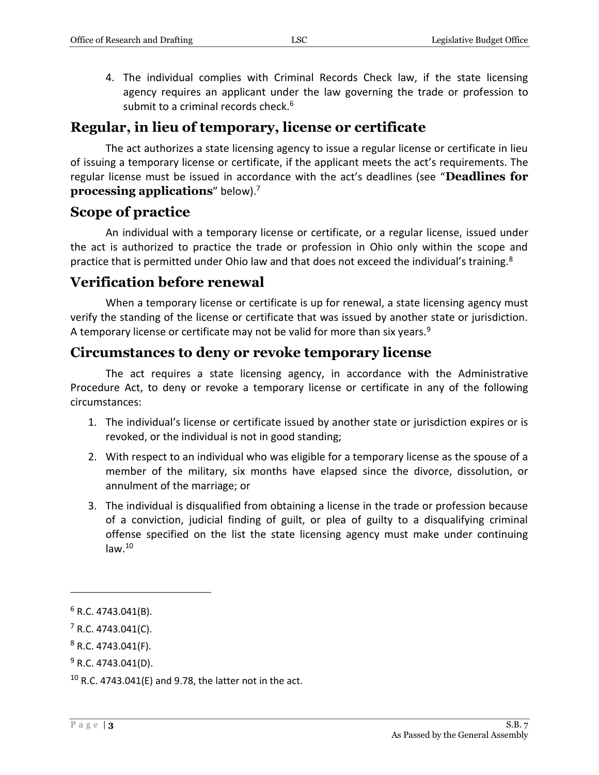4. The individual complies with Criminal Records Check law, if the state licensing agency requires an applicant under the law governing the trade or profession to submit to a criminal records check. $6$ 

#### **Regular, in lieu of temporary, license or certificate**

The act authorizes a state licensing agency to issue a regular license or certificate in lieu of issuing a temporary license or certificate, if the applicant meets the act's requirements. The regular license must be issued in accordance with the act's deadlines (see "**Deadlines for processing applications**" below).<sup>7</sup>

#### **Scope of practice**

An individual with a temporary license or certificate, or a regular license, issued under the act is authorized to practice the trade or profession in Ohio only within the scope and practice that is permitted under Ohio law and that does not exceed the individual's training.<sup>8</sup>

## **Verification before renewal**

When a temporary license or certificate is up for renewal, a state licensing agency must verify the standing of the license or certificate that was issued by another state or jurisdiction. A temporary license or certificate may not be valid for more than six years. $9$ 

#### **Circumstances to deny or revoke temporary license**

The act requires a state licensing agency, in accordance with the Administrative Procedure Act, to deny or revoke a temporary license or certificate in any of the following circumstances:

- 1. The individual's license or certificate issued by another state or jurisdiction expires or is revoked, or the individual is not in good standing;
- 2. With respect to an individual who was eligible for a temporary license as the spouse of a member of the military, six months have elapsed since the divorce, dissolution, or annulment of the marriage; or
- 3. The individual is disqualified from obtaining a license in the trade or profession because of a conviction, judicial finding of guilt, or plea of guilty to a disqualifying criminal offense specified on the list the state licensing agency must make under continuing  $law.<sup>10</sup>$

 $6$  R.C. 4743.041(B).

 $7$  R.C. 4743.041(C).

 $8$  R.C. 4743.041(F).

 $9$  R.C. 4743.041(D).

 $10$  R.C. 4743.041(E) and 9.78, the latter not in the act.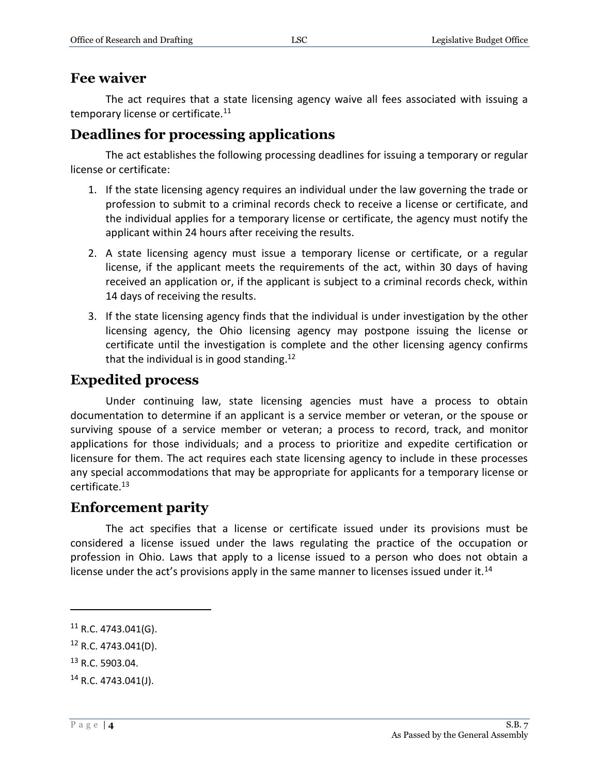#### **Fee waiver**

The act requires that a state licensing agency waive all fees associated with issuing a temporary license or certificate.<sup>11</sup>

## **Deadlines for processing applications**

The act establishes the following processing deadlines for issuing a temporary or regular license or certificate:

- 1. If the state licensing agency requires an individual under the law governing the trade or profession to submit to a criminal records check to receive a license or certificate, and the individual applies for a temporary license or certificate, the agency must notify the applicant within 24 hours after receiving the results.
- 2. A state licensing agency must issue a temporary license or certificate, or a regular license, if the applicant meets the requirements of the act, within 30 days of having received an application or, if the applicant is subject to a criminal records check, within 14 days of receiving the results.
- 3. If the state licensing agency finds that the individual is under investigation by the other licensing agency, the Ohio licensing agency may postpone issuing the license or certificate until the investigation is complete and the other licensing agency confirms that the individual is in good standing.<sup>12</sup>

#### **Expedited process**

Under continuing law, state licensing agencies must have a process to obtain documentation to determine if an applicant is a service member or veteran, or the spouse or surviving spouse of a service member or veteran; a process to record, track, and monitor applications for those individuals; and a process to prioritize and expedite certification or licensure for them. The act requires each state licensing agency to include in these processes any special accommodations that may be appropriate for applicants for a temporary license or certificate.<sup>13</sup>

## **Enforcement parity**

The act specifies that a license or certificate issued under its provisions must be considered a license issued under the laws regulating the practice of the occupation or profession in Ohio. Laws that apply to a license issued to a person who does not obtain a license under the act's provisions apply in the same manner to licenses issued under it.<sup>14</sup>

 $11$  R.C. 4743.041(G).

<sup>12</sup> R.C. 4743.041(D).

<sup>13</sup> R.C. 5903.04.

 $14$  R.C. 4743.041(J).